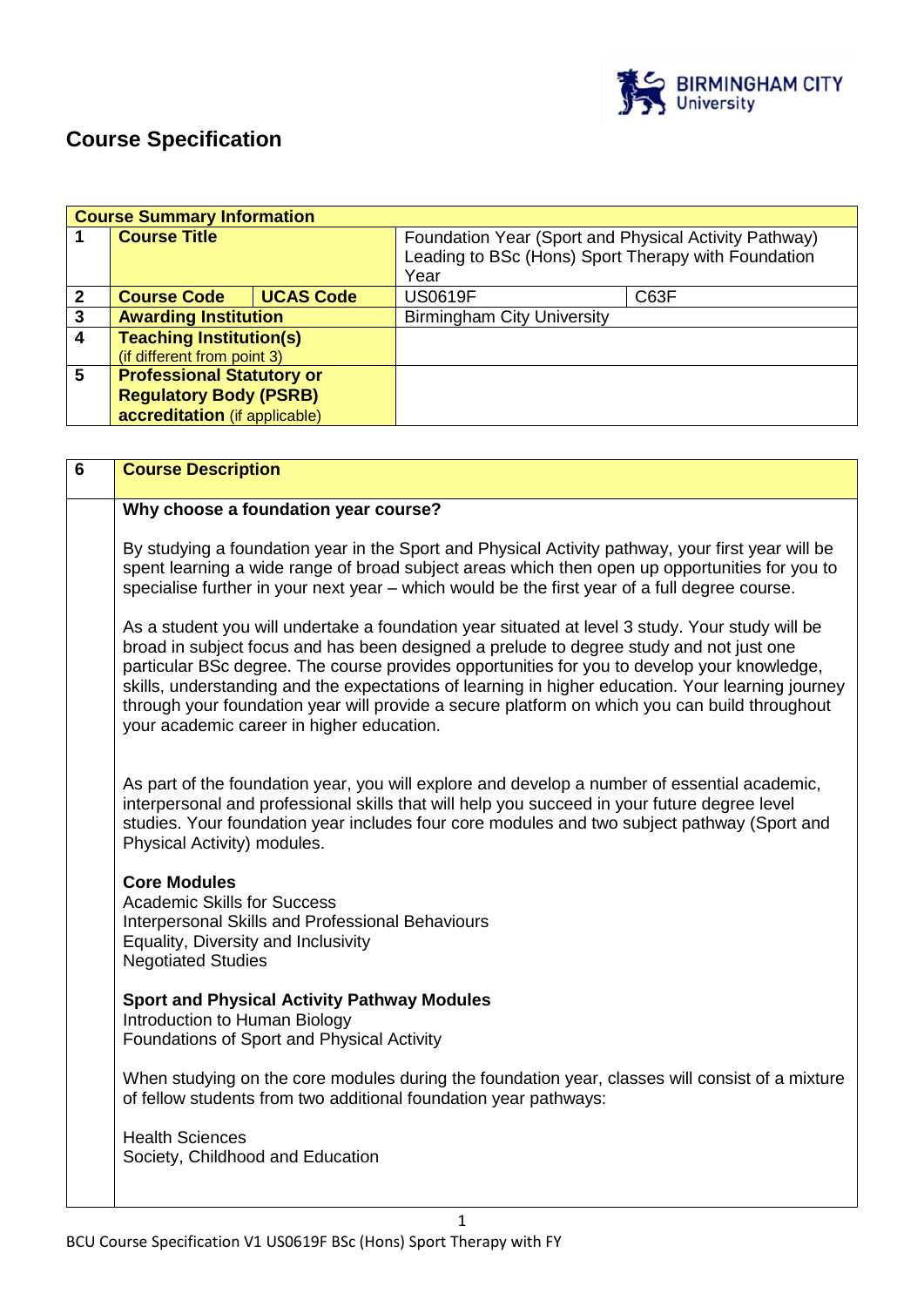

# **Course Specification**

|              | <b>Course Summary Information</b> |                  |                                                                                                              |      |
|--------------|-----------------------------------|------------------|--------------------------------------------------------------------------------------------------------------|------|
|              | <b>Course Title</b>               |                  | Foundation Year (Sport and Physical Activity Pathway)<br>Leading to BSc (Hons) Sport Therapy with Foundation |      |
|              |                                   |                  | Year                                                                                                         |      |
| $\mathbf{2}$ | <b>Course Code</b>                | <b>UCAS Code</b> | <b>US0619F</b>                                                                                               | C63F |
| $\mathbf{3}$ | <b>Awarding Institution</b>       |                  | <b>Birmingham City University</b>                                                                            |      |
| 4            | <b>Teaching Institution(s)</b>    |                  |                                                                                                              |      |
|              | (if different from point 3)       |                  |                                                                                                              |      |
| 5            | <b>Professional Statutory or</b>  |                  |                                                                                                              |      |
|              | <b>Regulatory Body (PSRB)</b>     |                  |                                                                                                              |      |
|              | accreditation (if applicable)     |                  |                                                                                                              |      |

| $\overline{6}$ | <b>Course Description</b>                                                                                                                                                                                                                                                                                                                                                                                                                                                                                                                    |
|----------------|----------------------------------------------------------------------------------------------------------------------------------------------------------------------------------------------------------------------------------------------------------------------------------------------------------------------------------------------------------------------------------------------------------------------------------------------------------------------------------------------------------------------------------------------|
|                | Why choose a foundation year course?                                                                                                                                                                                                                                                                                                                                                                                                                                                                                                         |
|                | By studying a foundation year in the Sport and Physical Activity pathway, your first year will be<br>spent learning a wide range of broad subject areas which then open up opportunities for you to<br>specialise further in your next year – which would be the first year of a full degree course.                                                                                                                                                                                                                                         |
|                | As a student you will undertake a foundation year situated at level 3 study. Your study will be<br>broad in subject focus and has been designed a prelude to degree study and not just one<br>particular BSc degree. The course provides opportunities for you to develop your knowledge,<br>skills, understanding and the expectations of learning in higher education. Your learning journey<br>through your foundation year will provide a secure platform on which you can build throughout<br>your academic career in higher education. |
|                | As part of the foundation year, you will explore and develop a number of essential academic,<br>interpersonal and professional skills that will help you succeed in your future degree level<br>studies. Your foundation year includes four core modules and two subject pathway (Sport and<br>Physical Activity) modules.                                                                                                                                                                                                                   |
|                | <b>Core Modules</b><br><b>Academic Skills for Success</b><br>Interpersonal Skills and Professional Behaviours<br>Equality, Diversity and Inclusivity<br><b>Negotiated Studies</b>                                                                                                                                                                                                                                                                                                                                                            |
|                | <b>Sport and Physical Activity Pathway Modules</b><br>Introduction to Human Biology<br>Foundations of Sport and Physical Activity                                                                                                                                                                                                                                                                                                                                                                                                            |
|                | When studying on the core modules during the foundation year, classes will consist of a mixture<br>of fellow students from two additional foundation year pathways:                                                                                                                                                                                                                                                                                                                                                                          |
|                | <b>Health Sciences</b><br>Society, Childhood and Education                                                                                                                                                                                                                                                                                                                                                                                                                                                                                   |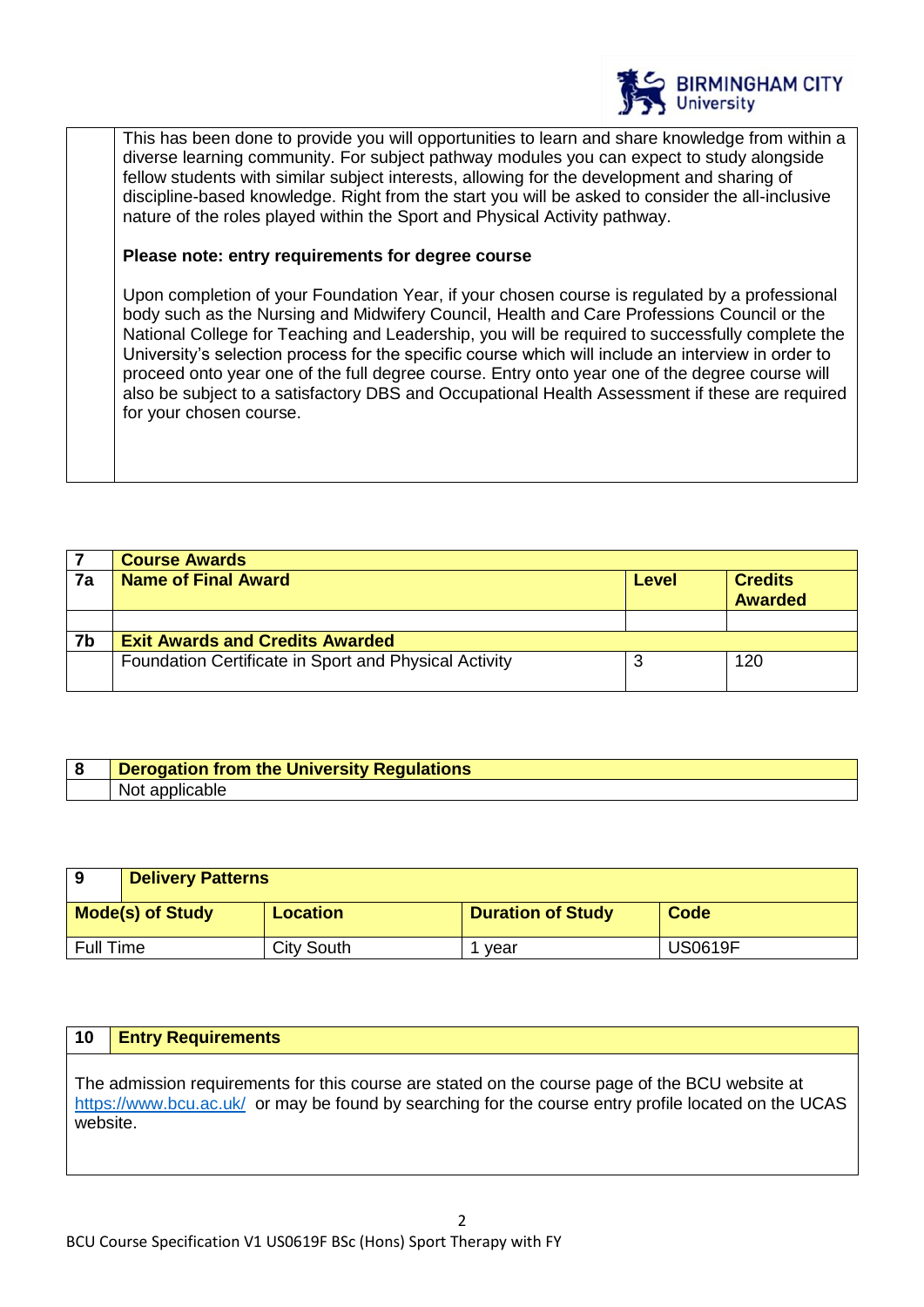

This has been done to provide you will opportunities to learn and share knowledge from within a diverse learning community. For subject pathway modules you can expect to study alongside fellow students with similar subject interests, allowing for the development and sharing of discipline-based knowledge. Right from the start you will be asked to consider the all-inclusive nature of the roles played within the Sport and Physical Activity pathway.

## **Please note: entry requirements for degree course**

Upon completion of your Foundation Year, if your chosen course is regulated by a professional body such as the Nursing and Midwifery Council, Health and Care Professions Council or the National College for Teaching and Leadership, you will be required to successfully complete the University's selection process for the specific course which will include an interview in order to proceed onto year one of the full degree course. Entry onto year one of the degree course will also be subject to a satisfactory DBS and Occupational Health Assessment if these are required for your chosen course.

|    | <b>Course Awards</b>                                  |       |                                  |
|----|-------------------------------------------------------|-------|----------------------------------|
| 7a | <b>Name of Final Award</b>                            | Level | <b>Credits</b><br><b>Awarded</b> |
|    |                                                       |       |                                  |
| 7b | <b>Exit Awards and Credits Awarded</b>                |       |                                  |
|    | Foundation Certificate in Sport and Physical Activity |       | 120                              |

| <b>Derogation from the University Regulations</b> |  |
|---------------------------------------------------|--|
| Not                                               |  |

| 9         | <b>Delivery Patterns</b> |                 |                          |                |
|-----------|--------------------------|-----------------|--------------------------|----------------|
|           | <b>Mode(s) of Study</b>  | <b>Location</b> | <b>Duration of Study</b> | Code           |
| Full Time |                          | City South      | vear                     | <b>US0619F</b> |

## **10 Entry Requirements**

The admission requirements for this course are stated on the course page of the BCU website at <https://www.bcu.ac.uk/>or may be found by searching for the course entry profile located on the UCAS website.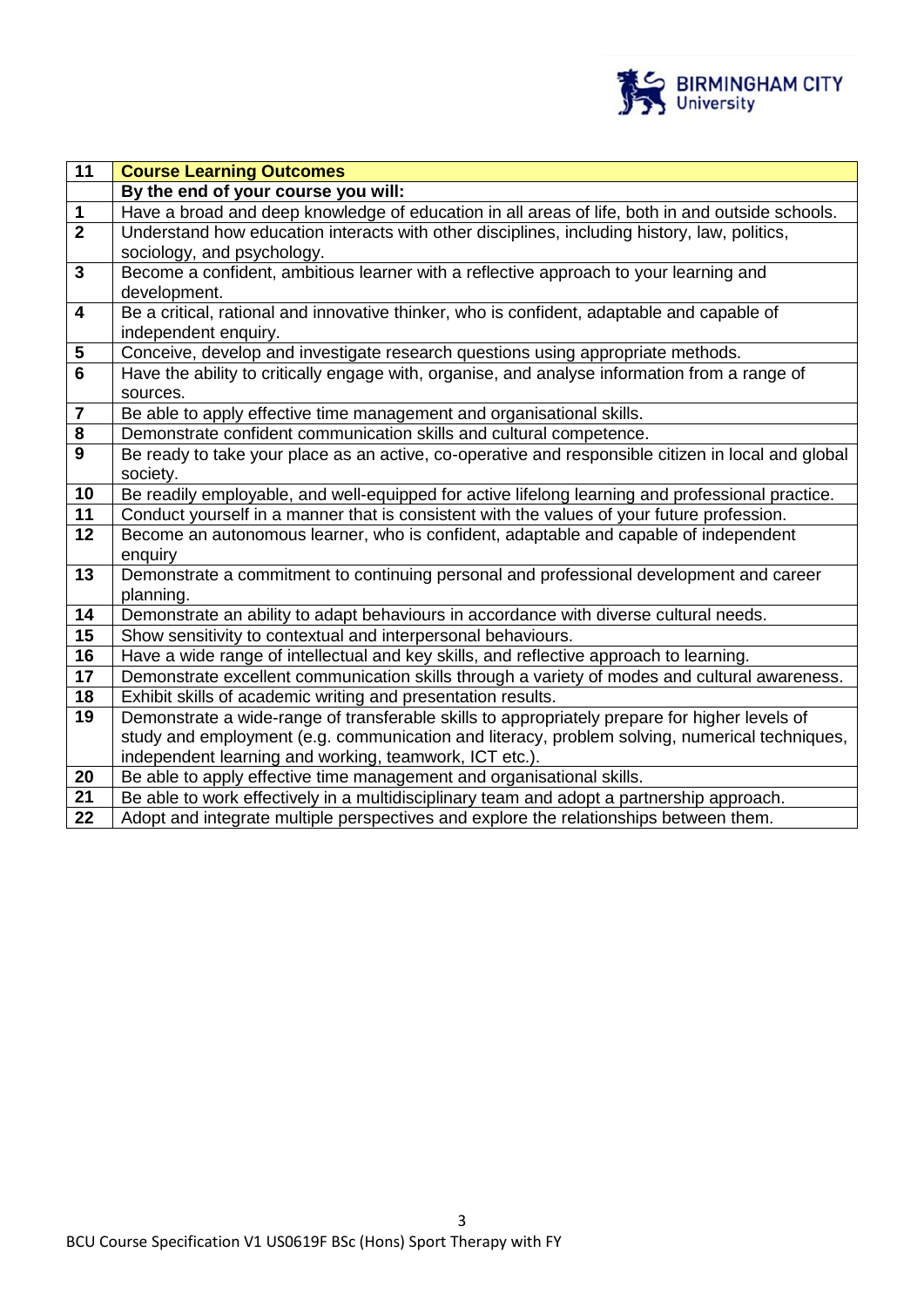

| $\overline{11}$         | <b>Course Learning Outcomes</b>                                                                    |  |  |
|-------------------------|----------------------------------------------------------------------------------------------------|--|--|
|                         | By the end of your course you will:                                                                |  |  |
| $\mathbf 1$             | Have a broad and deep knowledge of education in all areas of life, both in and outside schools.    |  |  |
| $\overline{2}$          | Understand how education interacts with other disciplines, including history, law, politics,       |  |  |
|                         | sociology, and psychology.                                                                         |  |  |
| $\mathbf{3}$            | Become a confident, ambitious learner with a reflective approach to your learning and              |  |  |
|                         | development.                                                                                       |  |  |
| $\overline{\mathbf{4}}$ | Be a critical, rational and innovative thinker, who is confident, adaptable and capable of         |  |  |
|                         | independent enquiry.                                                                               |  |  |
| ${\bf 5}$               | Conceive, develop and investigate research questions using appropriate methods.                    |  |  |
| 6                       | Have the ability to critically engage with, organise, and analyse information from a range of      |  |  |
|                         | sources.                                                                                           |  |  |
| $\overline{7}$          | Be able to apply effective time management and organisational skills.                              |  |  |
| $\bf 8$                 | Demonstrate confident communication skills and cultural competence.                                |  |  |
| 9                       | Be ready to take your place as an active, co-operative and responsible citizen in local and global |  |  |
|                         | society.                                                                                           |  |  |
| $\overline{10}$         | Be readily employable, and well-equipped for active lifelong learning and professional practice.   |  |  |
| 11                      | Conduct yourself in a manner that is consistent with the values of your future profession.         |  |  |
| 12                      | Become an autonomous learner, who is confident, adaptable and capable of independent               |  |  |
|                         | enquiry                                                                                            |  |  |
| 13                      | Demonstrate a commitment to continuing personal and professional development and career            |  |  |
|                         | planning.                                                                                          |  |  |
| 14                      | Demonstrate an ability to adapt behaviours in accordance with diverse cultural needs.              |  |  |
| 15                      | Show sensitivity to contextual and interpersonal behaviours.                                       |  |  |
| $\overline{16}$         | Have a wide range of intellectual and key skills, and reflective approach to learning.             |  |  |
| 17                      | Demonstrate excellent communication skills through a variety of modes and cultural awareness.      |  |  |
| 18                      | Exhibit skills of academic writing and presentation results.                                       |  |  |
| 19                      | Demonstrate a wide-range of transferable skills to appropriately prepare for higher levels of      |  |  |
|                         | study and employment (e.g. communication and literacy, problem solving, numerical techniques,      |  |  |
|                         | independent learning and working, teamwork, ICT etc.).                                             |  |  |
| 20                      | Be able to apply effective time management and organisational skills.                              |  |  |
| $\overline{21}$         | Be able to work effectively in a multidisciplinary team and adopt a partnership approach.          |  |  |
| 22                      | Adopt and integrate multiple perspectives and explore the relationships between them.              |  |  |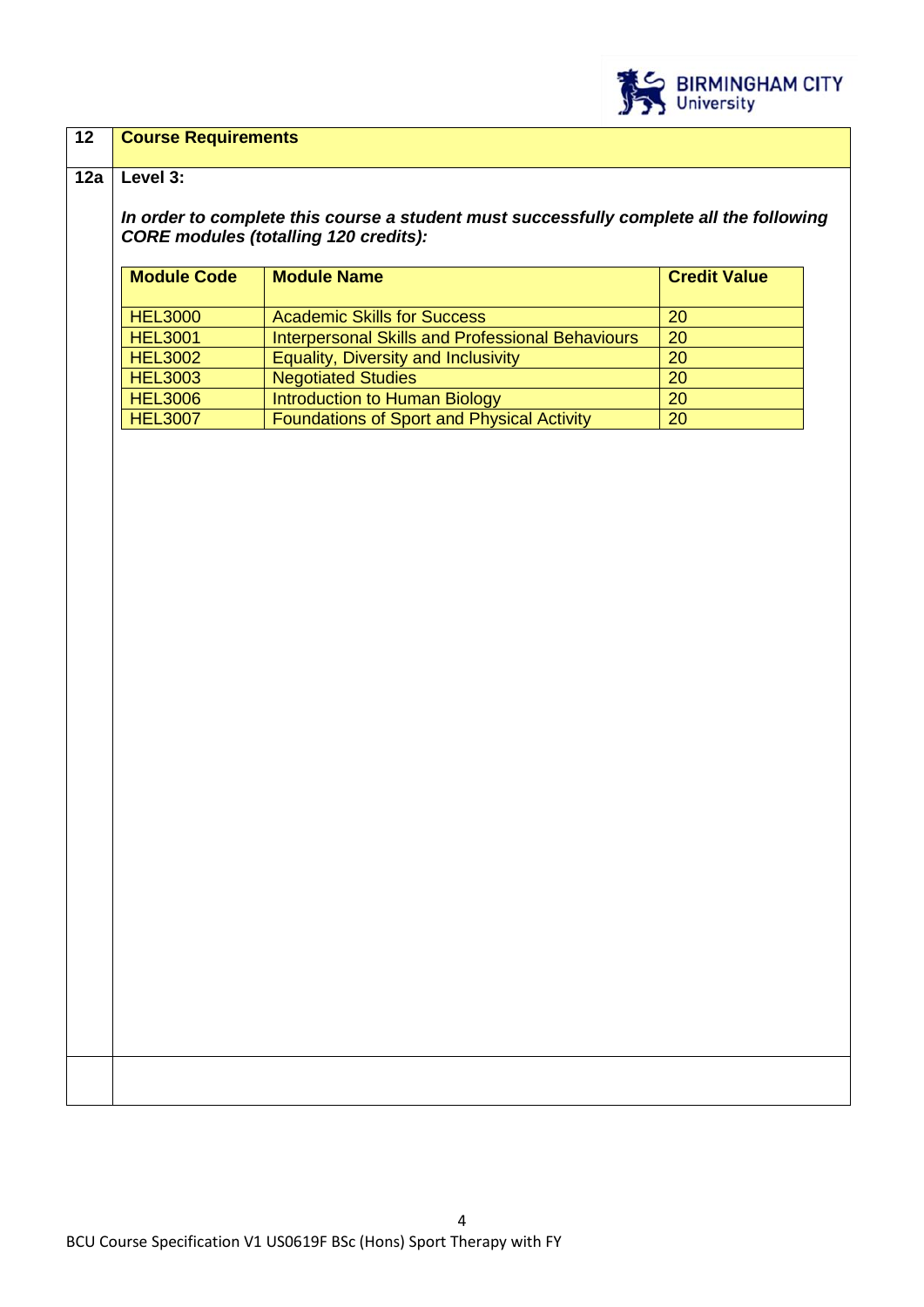

## **12 Course Requirements**

#### **12a Level 3:**

*In order to complete this course a student must successfully complete all the following CORE modules (totalling 120 credits):*

| <b>Module Code</b> | <b>Module Name</b>                                      | <b>Credit Value</b> |
|--------------------|---------------------------------------------------------|---------------------|
| <b>HEL3000</b>     | <b>Academic Skills for Success</b>                      | <b>20</b>           |
| <b>HEL3001</b>     | <b>Interpersonal Skills and Professional Behaviours</b> | 20                  |
| <b>HEL3002</b>     | <b>Equality, Diversity and Inclusivity</b>              | <b>20</b>           |
| <b>HEL3003</b>     | <b>Negotiated Studies</b>                               | 20                  |
| <b>HEL3006</b>     | Introduction to Human Biology                           | 20                  |
| <b>HEL3007</b>     | Foundations of Sport and Physical Activity              | 20                  |